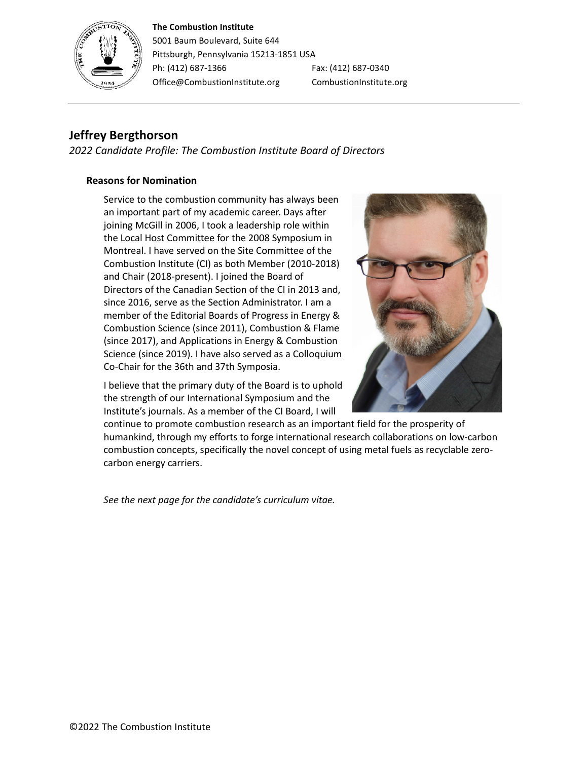#### **The Combustion Institute**



5001 Baum Boulevard, Suite 644 Pittsburgh, Pennsylvania 15213-1851 USA Ph: (412) 687-1366 Fax: (412) 687-0340 Office@CombustionInstitute.org CombustionInstitute.org

# **Jeffrey Bergthorson**

*2022 Candidate Profile: The Combustion Institute Board of Directors*

### **Reasons for Nomination**

Service to the combustion community has always been an important part of my academic career. Days after joining McGill in 2006, I took a leadership role within the Local Host Committee for the 2008 Symposium in Montreal. I have served on the Site Committee of the Combustion Institute (CI) as both Member (2010-2018) and Chair (2018-present). I joined the Board of Directors of the Canadian Section of the CI in 2013 and, since 2016, serve as the Section Administrator. I am a member of the Editorial Boards of Progress in Energy & Combustion Science (since 2011), Combustion & Flame (since 2017), and Applications in Energy & Combustion Science (since 2019). I have also served as a Colloquium Co-Chair for the 36th and 37th Symposia.

I believe that the primary duty of the Board is to uphold the strength of our International Symposium and the Institute's journals. As a member of the CI Board, I will



continue to promote combustion research as an important field for the prosperity of humankind, through my efforts to forge international research collaborations on low-carbon combustion concepts, specifically the novel concept of using metal fuels as recyclable zerocarbon energy carriers.

*See the next page for the candidate's curriculum vitae.*